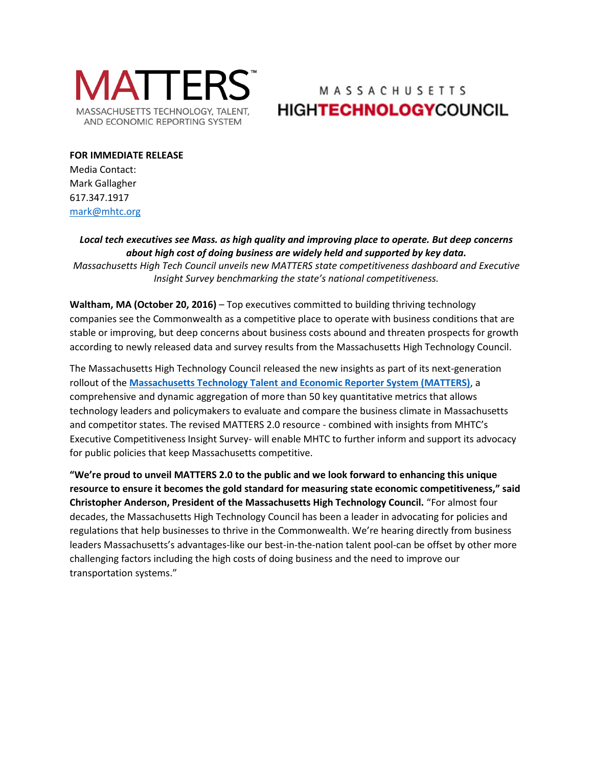

# MASSACHUSETTS **HIGHTECHNOLOGYCOUNCIL**

**FOR IMMEDIATE RELEASE** Media Contact:

Mark Gallagher 617.347.1917 [mark@mhtc.org](mailto:mark@mhtc.org)

*Local tech executives see Mass. as high quality and improving place to operate. But deep concerns about high cost of doing business are widely held and supported by key data. Massachusetts High Tech Council unveils new MATTERS state competitiveness dashboard and Executive Insight Survey benchmarking the state's national competitiveness.*

**Waltham, MA (October 20, 2016)** – Top executives committed to building thriving technology companies see the Commonwealth as a competitive place to operate with business conditions that are stable or improving, but deep concerns about business costs abound and threaten prospects for growth according to newly released data and survey results from the Massachusetts High Technology Council.

The Massachusetts High Technology Council released the new insights as part of its next-generation rollout of the **[Massachusetts Technology Talent and Economic Reporter System \(MATTERS\)](http://matters.mhtc.org/resources/MATTERS_Executive_Competitiveness_Insight_Survey_Fall_2016.pdf)**, a comprehensive and dynamic aggregation of more than 50 key quantitative metrics that allows technology leaders and policymakers to evaluate and compare the business climate in Massachusetts and competitor states. The revised MATTERS 2.0 resource - combined with insights from MHTC's Executive Competitiveness Insight Survey- will enable MHTC to further inform and support its advocacy for public policies that keep Massachusetts competitive.

**"We're proud to unveil MATTERS 2.0 to the public and we look forward to enhancing this unique resource to ensure it becomes the gold standard for measuring state economic competitiveness," said Christopher Anderson, President of the Massachusetts High Technology Council.** "For almost four decades, the Massachusetts High Technology Council has been a leader in advocating for policies and regulations that help businesses to thrive in the Commonwealth. We're hearing directly from business leaders Massachusetts's advantages-like our best-in-the-nation talent pool-can be offset by other more challenging factors including the high costs of doing business and the need to improve our transportation systems."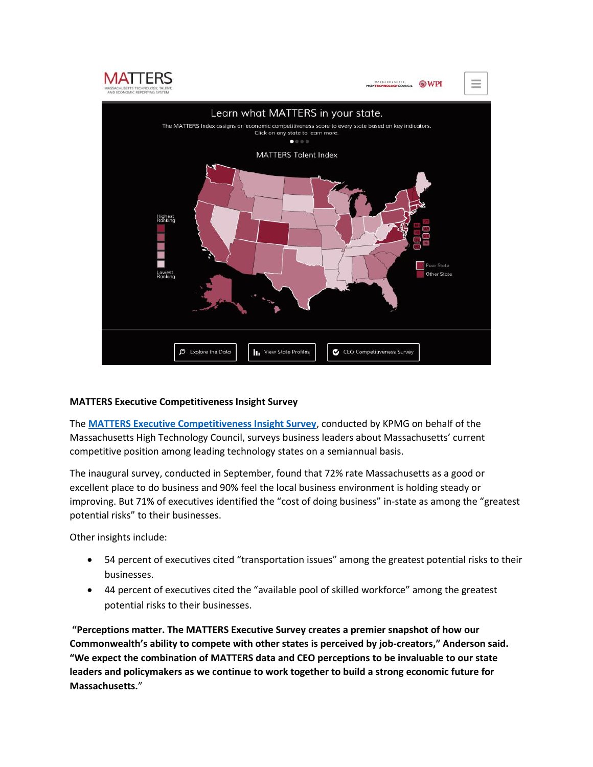



≡

HIGHTECHNOLOGYCOUNCIL WWPI

#### **MATTERS Executive Competitiveness Insight Survey**

The **[MATTERS Executive Competitiveness Insight Survey](http://matters.mhtc.org/resources/MATTERS_Executive_Competitiveness_Insight_Survey_Fall_2016.pdf)**, conducted by KPMG on behalf of the Massachusetts High Technology Council, surveys business leaders about Massachusetts' current competitive position among leading technology states on a semiannual basis.

The inaugural survey, conducted in September, found that 72% rate Massachusetts as a good or excellent place to do business and 90% feel the local business environment is holding steady or improving. But 71% of executives identified the "cost of doing business" in-state as among the "greatest potential risks" to their businesses.

Other insights include:

- 54 percent of executives cited "transportation issues" among the greatest potential risks to their businesses.
- 44 percent of executives cited the "available pool of skilled workforce" among the greatest potential risks to their businesses.

**"Perceptions matter. The MATTERS Executive Survey creates a premier snapshot of how our Commonwealth's ability to compete with other states is perceived by job-creators," Anderson said. "We expect the combination of MATTERS data and CEO perceptions to be invaluable to our state leaders and policymakers as we continue to work together to build a strong economic future for Massachusetts.**"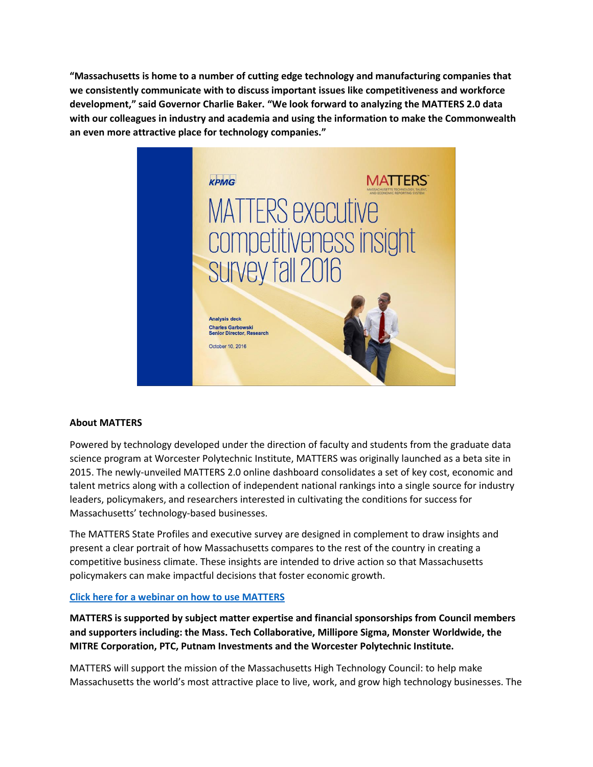**"Massachusetts is home to a number of cutting edge technology and manufacturing companies that we consistently communicate with to discuss important issues like competitiveness and workforce development," said Governor Charlie Baker. "We look forward to analyzing the MATTERS 2.0 data with our colleagues in industry and academia and using the information to make the Commonwealth an even more attractive place for technology companies."** 



## **About MATTERS**

Powered by technology developed under the direction of faculty and students from the graduate data science program at Worcester Polytechnic Institute, MATTERS was originally launched as a beta site in 2015. The newly-unveiled MATTERS 2.0 online dashboard consolidates a set of key cost, economic and talent metrics along with a collection of independent national rankings into a single source for industry leaders, policymakers, and researchers interested in cultivating the conditions for success for Massachusetts' technology-based businesses.

The MATTERS State Profiles and executive survey are designed in complement to draw insights and present a clear portrait of how Massachusetts compares to the rest of the country in creating a competitive business climate. These insights are intended to drive action so that Massachusetts policymakers can make impactful decisions that foster economic growth.

#### **[Click here for a webinar on how to use MATTERS](https://vimeo.com/188038696)**

**MATTERS is supported by subject matter expertise and financial sponsorships from Council members and supporters including: the Mass. Tech Collaborative, Millipore Sigma, Monster Worldwide, the MITRE Corporation, PTC, Putnam Investments and the Worcester Polytechnic Institute.**

MATTERS will support the mission of the Massachusetts High Technology Council: to help make Massachusetts the world's most attractive place to live, work, and grow high technology businesses. The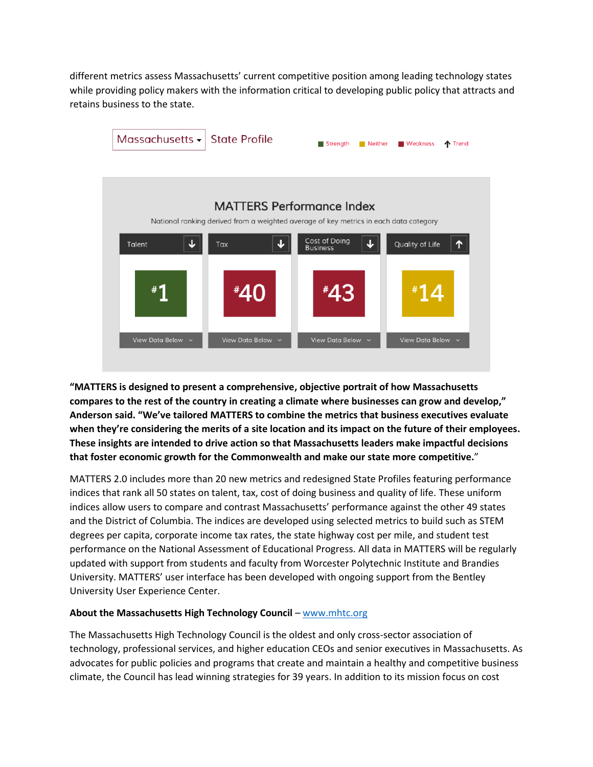different metrics assess Massachusetts' current competitive position among leading technology states while providing policy makers with the information critical to developing public policy that attracts and retains business to the state.



**"MATTERS is designed to present a comprehensive, objective portrait of how Massachusetts compares to the rest of the country in creating a climate where businesses can grow and develop," Anderson said. "We've tailored MATTERS to combine the metrics that business executives evaluate when they're considering the merits of a site location and its impact on the future of their employees. These insights are intended to drive action so that Massachusetts leaders make impactful decisions that foster economic growth for the Commonwealth and make our state more competitive.**"

MATTERS 2.0 includes more than 20 new metrics and redesigned State Profiles featuring performance indices that rank all 50 states on talent, tax, cost of doing business and quality of life. These uniform indices allow users to compare and contrast Massachusetts' performance against the other 49 states and the District of Columbia. The indices are developed using selected metrics to build such as STEM degrees per capita, corporate income tax rates, the state highway cost per mile, and student test performance on the National Assessment of Educational Progress. All data in MATTERS will be regularly updated with support from students and faculty from Worcester Polytechnic Institute and Brandies University. MATTERS' user interface has been developed with ongoing support from the Bentley University User Experience Center.

## **About the Massachusetts High Technology Council** – [www.mhtc.org](http://www.mhtc.org/)

The Massachusetts High Technology Council is the oldest and only cross-sector association of technology, professional services, and higher education CEOs and senior executives in Massachusetts. As advocates for public policies and programs that create and maintain a healthy and competitive business climate, the Council has lead winning strategies for 39 years. In addition to its mission focus on cost